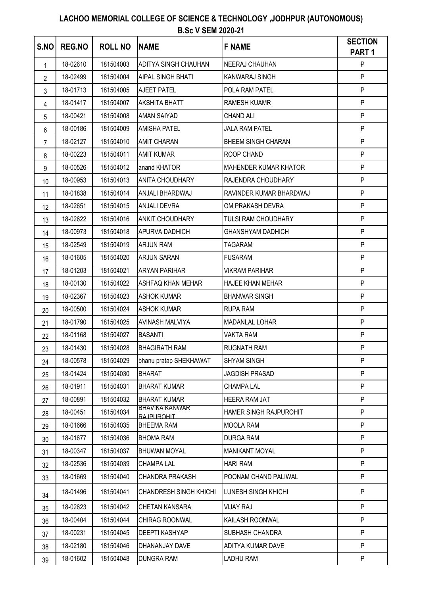| S.NO           | <b>REG.NO</b> | <b>ROLL NO</b> | <b>NAME</b>                           | <b>F NAME</b>             | <b>SECTION</b><br>PART <sub>1</sub> |
|----------------|---------------|----------------|---------------------------------------|---------------------------|-------------------------------------|
| $\mathbf{1}$   | 18-02610      | 181504003      | <b>ADITYA SINGH CHAUHAN</b>           | NEERAJ CHAUHAN            | P                                   |
| $\overline{2}$ | 18-02499      | 181504004      | <b>AIPAL SINGH BHATI</b>              | KANWARAJ SINGH            | P                                   |
| 3              | 18-01713      | 181504005      | <b>AJEET PATEL</b>                    | POLA RAM PATEL            | P                                   |
| 4              | 18-01417      | 181504007      | <b>AKSHITA BHATT</b>                  | <b>RAMESH KUAMR</b>       | P                                   |
| 5              | 18-00421      | 181504008      | <b>AMAN SAIYAD</b>                    | <b>CHAND ALI</b>          | P                                   |
| 6              | 18-00186      | 181504009      | <b>AMISHA PATEL</b>                   | <b>JALA RAM PATEL</b>     | P                                   |
| 7              | 18-02127      | 181504010      | <b>AMIT CHARAN</b>                    | <b>BHEEM SINGH CHARAN</b> | P                                   |
| 8              | 18-00223      | 181504011      | <b>AMIT KUMAR</b>                     | ROOP CHAND                | P                                   |
| 9              | 18-00526      | 181504012      | anand KHATOR                          | MAHENDER KUMAR KHATOR     | P                                   |
| 10             | 18-00953      | 181504013      | <b>ANITA CHOUDHARY</b>                | RAJENDRA CHOUDHARY        | P                                   |
| 11             | 18-01838      | 181504014      | ANJALI BHARDWAJ                       | RAVINDER KUMAR BHARDWAJ   | P                                   |
| 12             | 18-02651      | 181504015      | <b>ANJALI DEVRA</b>                   | OM PRAKASH DEVRA          | P                                   |
| 13             | 18-02622      | 181504016      | <b>ANKIT CHOUDHARY</b>                | TULSI RAM CHOUDHARY       | P                                   |
| 14             | 18-00973      | 181504018      | <b>APURVA DADHICH</b>                 | <b>GHANSHYAM DADHICH</b>  | P                                   |
| 15             | 18-02549      | 181504019      | <b>ARJUN RAM</b>                      | <b>TAGARAM</b>            | P                                   |
| 16             | 18-01605      | 181504020      | <b>ARJUN SARAN</b>                    | <b>FUSARAM</b>            | P                                   |
| 17             | 18-01203      | 181504021      | <b>ARYAN PARIHAR</b>                  | <b>VIKRAM PARIHAR</b>     | P                                   |
| 18             | 18-00130      | 181504022      | ASHFAQ KHAN MEHAR                     | <b>HAJEE KHAN MEHAR</b>   | P                                   |
| 19             | 18-02367      | 181504023      | <b>ASHOK KUMAR</b>                    | <b>BHANWAR SINGH</b>      | P                                   |
| 20             | 18-00500      | 181504024      | <b>ASHOK KUMAR</b>                    | <b>RUPA RAM</b>           | P                                   |
| 21             | 18-01790      | 181504025      | <b>AVINASH MALVIYA</b>                | <b>MADANLAL LOHAR</b>     | P                                   |
| 22             | 18-01168      | 181504027      | <b>BASANTI</b>                        | <b>VAKTA RAM</b>          | P                                   |
| 23             | 18-01430      | 181504028      | <b>BHAGIRATH RAM</b>                  | <b>RUGNATH RAM</b>        | P                                   |
| 24             | 18-00578      | 181504029      | bhanu pratap SHEKHAWAT                | <b>SHYAM SINGH</b>        | P                                   |
| 25             | 18-01424      | 181504030      | <b>BHARAT</b>                         | <b>JAGDISH PRASAD</b>     | P                                   |
| 26             | 18-01911      | 181504031      | <b>BHARAT KUMAR</b>                   | <b>CHAMPA LAL</b>         | P                                   |
| 27             | 18-00891      | 181504032      | <b>BHARAT KUMAR</b>                   | <b>HEERA RAM JAT</b>      | P.                                  |
| 28             | 18-00451      | 181504034      | <b>BHAVIKA KANWAR</b><br>RA.IPLIROHIT | HAMER SINGH RAJPUROHIT    | P                                   |
| 29             | 18-01666      | 181504035      | <b>BHEEMA RAM</b>                     | <b>MOOLA RAM</b>          | P                                   |
| 30             | 18-01677      | 181504036      | <b>BHOMA RAM</b>                      | <b>DURGA RAM</b>          | P                                   |
| 31             | 18-00347      | 181504037      | <b>BHUWAN MOYAL</b>                   | <b>MANIKANT MOYAL</b>     | P                                   |
| 32             | 18-02536      | 181504039      | <b>CHAMPA LAL</b>                     | <b>HARI RAM</b>           | P                                   |
| 33             | 18-01669      | 181504040      | <b>CHANDRA PRAKASH</b>                | POONAM CHAND PALIWAL      | P                                   |
| 34             | 18-01496      | 181504041      | <b>CHANDRESH SINGH KHICHI</b>         | LUNESH SINGH KHICHI       | P                                   |
| 35             | 18-02623      | 181504042      | CHETAN KANSARA                        | <b>VIJAY RAJ</b>          | P                                   |
| 36             | 18-00404      | 181504044      | CHIRAG ROONWAL                        | KAILASH ROONWAL           | P                                   |
| 37             | 18-00231      | 181504045      | <b>DEEPTI KASHYAP</b>                 | SUBHASH CHANDRA           | P                                   |
| 38             | 18-02180      | 181504046      | DHANANJAY DAVE                        | ADITYA KUMAR DAVE         | P                                   |
| 39             | 18-01602      | 181504048      | <b>DUNGRA RAM</b>                     | <b>LADHU RAM</b>          | P                                   |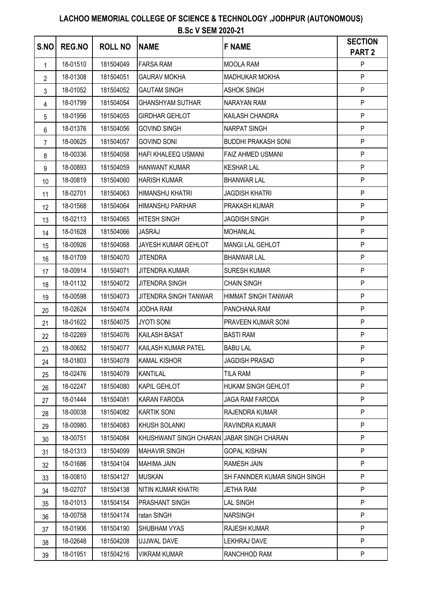| S.NO            | <b>REG.NO</b> | <b>ROLL NO</b> | <b>NAME</b>                               | <b>F NAME</b>                 | <b>SECTION</b><br><b>PART 2</b> |
|-----------------|---------------|----------------|-------------------------------------------|-------------------------------|---------------------------------|
| 1               | 18-01510      | 181504049      | <b>FARSA RAM</b>                          | <b>MOOLA RAM</b>              | P                               |
| 2               | 18-01308      | 181504051      | <b>GAURAV MOKHA</b>                       | <b>MADHUKAR MOKHA</b>         | P                               |
| 3               | 18-01052      | 181504052      | <b>GAUTAM SINGH</b>                       | <b>ASHOK SINGH</b>            | P                               |
| 4               | 18-01799      | 181504054      | <b>GHANSHYAM SUTHAR</b>                   | NARAYAN RAM                   | P                               |
| 5               | 18-01956      | 181504055      | <b>GIRDHAR GEHLOT</b>                     | KAILASH CHANDRA               | P                               |
| 6               | 18-01376      | 181504056      | <b>GOVIND SINGH</b>                       | <b>NARPAT SINGH</b>           | P                               |
| 7               | 18-00625      | 181504057      | <b>GOVIND SONI</b>                        | <b>BUDDHI PRAKASH SONI</b>    | P                               |
| 8               | 18-00336      | 181504058      | <b>HAFI KHALEEQ USMANI</b>                | <b>FAIZ AHMED USMANI</b>      | P                               |
| 9               | 18-00893      | 181504059      | <b>HANWANT KUMAR</b>                      | <b>KESHAR LAL</b>             | P                               |
| 10 <sup>°</sup> | 18-00819      | 181504060      | <b>HARISH KUMAR</b>                       | <b>BHANWAR LAL</b>            | P                               |
| 11              | 18-02701      | 181504063      | <b>HIMANSHU KHATRI</b>                    | <b>JAGDISH KHATRI</b>         | P                               |
| 12              | 18-01568      | 181504064      | <b>HIMANSHU PARIHAR</b>                   | PRAKASH KUMAR                 | P                               |
| 13              | 18-02113      | 181504065      | <b>HITESH SINGH</b>                       | <b>JAGDISH SINGH</b>          | P                               |
| 14              | 18-01628      | 181504066      | <b>JASRAJ</b>                             | <b>MOHANLAL</b>               | P                               |
| 15              | 18-00926      | 181504068      | JAYESH KUMAR GEHLOT                       | MANGI LAL GEHLOT              | P                               |
| 16              | 18-01709      | 181504070      | <b>JITENDRA</b>                           | <b>BHANWAR LAL</b>            | P                               |
| 17              | 18-00914      | 181504071      | <b>JITENDRA KUMAR</b>                     | <b>SURESH KUMAR</b>           | P                               |
| 18              | 18-01132      | 181504072      | <b>JITENDRA SINGH</b>                     | <b>CHAIN SINGH</b>            | P                               |
| 19              | 18-00598      | 181504073      | JITENDRA SINGH TANWAR                     | HIMMAT SINGH TANWAR           | P                               |
| 20              | 18-02624      | 181504074      | <b>JODHA RAM</b>                          | PANCHANA RAM                  | P                               |
| 21              | 18-01622      | 181504075      | <b>JYOTI SONI</b>                         | PRAVEEN KUMAR SONI            | P                               |
| 22              | 18-02269      | 181504076      | <b>KAILASH BASAT</b>                      | <b>BASTI RAM</b>              | P                               |
| 23              | 18-00652      | 181504077      | KAILASH KUMAR PATEL                       | <b>BABU LAL</b>               | P                               |
| 24              | 18-01803      | 181504078      | <b>KAMAL KISHOR</b>                       | <b>JAGDISH PRASAD</b>         | P                               |
| 25              | 18-02476      | 181504079      | <b>KANTILAL</b>                           | <b>TILA RAM</b>               | P.                              |
| 26              | 18-02247      | 181504080      | KAPIL GEHLOT                              | HUKAM SINGH GEHLOT            | P                               |
| 27              | 18-01444      | 181504081      | <b>KARAN FARODA</b>                       | JAGA RAM FARODA               | P                               |
| 28              | 18-00038      | 181504082      | <b>KARTIK SONI</b>                        | RAJENDRA KUMAR                | P                               |
| 29              | 18-00980      | 181504083      | <b>KHUSH SOLANKI</b>                      | RAVINDRA KUMAR                | P                               |
| 30              | 18-00751      | 181504084      | KHUSHWANT SINGH CHARAN JABAR SINGH CHARAN |                               | P                               |
| 31              | 18-01313      | 181504099      | <b>MAHAVIR SINGH</b>                      | <b>GOPAL KISHAN</b>           | P                               |
| 32              | 18-01686      | 181504104      | <b>MAHIMA JAIN</b>                        | RAMESH JAIN                   | P                               |
| 33              | 18-00810      | 181504127      | <b>MUSKAN</b>                             | SH FANINDER KUMAR SINGH SINGH | P                               |
| 34              | 18-02707      | 181504138      | NITIN KUMAR KHATRI                        | <b>JETHA RAM</b>              | P                               |
| 35              | 18-01013      | 181504154      | PRASHANT SINGH                            | <b>LAL SINGH</b>              | P.                              |
| 36              | 18-00758      | 181504174      | ratan SINGH                               | <b>NARSINGH</b>               | P.                              |
| 37              | 18-01906      | 181504190      | SHUBHAM VYAS                              | <b>RAJESH KUMAR</b>           | P.                              |
| 38              | 18-02648      | 181504208      | <b>UJJWAL DAVE</b>                        | <b>LEKHRAJ DAVE</b>           | P.                              |
| 39              | 18-01951      | 181504216      | <b>VIKRAM KUMAR</b>                       | RANCHHOD RAM                  | P.                              |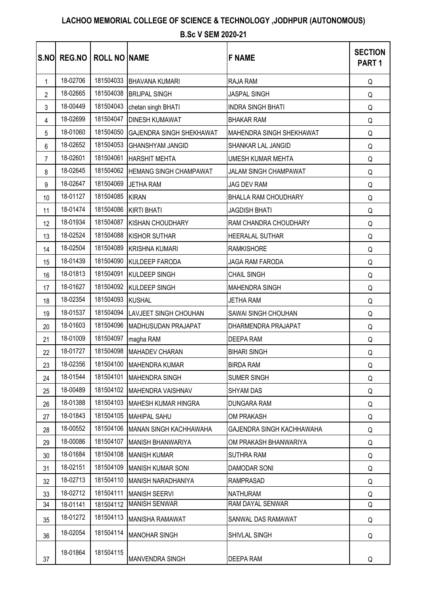# **LACHOO MEMORIAL COLLEGE OF SCIENCE & TECHNOLOGY ,JODHPUR (AUTONOMOUS)**

#### **B.Sc V SEM 2020-21**

| S.NO           |          | <b>REG.NO   ROLL NO   NAME</b> |                                  | <b>F NAME</b>                   | <b>SECTION</b><br>PART <sub>1</sub> |
|----------------|----------|--------------------------------|----------------------------------|---------------------------------|-------------------------------------|
| $\mathbf{1}$   | 18-02706 |                                | 181504033 BHAVANA KUMARI         | <b>RAJA RAM</b>                 | Q                                   |
| $\overline{2}$ | 18-02665 |                                | 181504038 BRIJPAL SINGH          | <b>JASPAL SINGH</b>             | Q                                   |
| 3              | 18-00449 | 181504043                      | chetan singh BHATI               | <b>INDRA SINGH BHATI</b>        | Q                                   |
| 4              | 18-02699 | 181504047                      | <b>DINESH KUMAWAT</b>            | <b>BHAKAR RAM</b>               | Q                                   |
| 5              | 18-01060 | 181504050                      | <b>GAJENDRA SINGH SHEKHAWAT</b>  | <b>MAHENDRA SINGH SHEKHAWAT</b> | Q                                   |
| 6              | 18-02652 | 181504053                      | <b>GHANSHYAM JANGID</b>          | SHANKAR LAL JANGID              | Q                                   |
| $\overline{7}$ | 18-02601 |                                | 181504061 HARSHIT MEHTA          | <b>UMESH KUMAR MEHTA</b>        | Q                                   |
| 8              | 18-02645 |                                | 181504062 HEMANG SINGH CHAMPAWAT | JALAM SINGH CHAMPAWAT           | Q                                   |
| 9              | 18-02647 | 181504069                      | <b>JETHA RAM</b>                 | JAG DEV RAM                     | Q                                   |
| 10             | 18-01127 | 181504085 KIRAN                |                                  | BHALLA RAM CHOUDHARY            | Q                                   |
| 11             | 18-01474 |                                | 181504086 KIRTI BHATI            | <b>JAGDISH BHATI</b>            | Q                                   |
| 12             | 18-01934 | 181504087                      | <b>KISHAN CHOUDHARY</b>          | RAM CHANDRA CHOUDHARY           | Q                                   |
| 13             | 18-02524 | 181504088                      | <b>KISHOR SUTHAR</b>             | HEERALAL SUTHAR                 | Q                                   |
| 14             | 18-02504 | 181504089                      | <b>KRISHNA KUMARI</b>            | <b>RAMKISHORE</b>               | Q                                   |
| 15             | 18-01439 |                                | 181504090 KULDEEP FARODA         | <b>JAGA RAM FARODA</b>          | Q                                   |
| 16             | 18-01813 |                                | 181504091 KULDEEP SINGH          | <b>CHAIL SINGH</b>              | Q                                   |
| 17             | 18-01627 | 181504092                      | KULDEEP SINGH                    | <b>MAHENDRA SINGH</b>           | Q                                   |
| 18             | 18-02354 | 181504093 KUSHAL               |                                  | <b>JETHA RAM</b>                | Q                                   |
| 19             | 18-01537 | 181504094                      | <b>LAVJEET SINGH CHOUHAN</b>     | SAWAI SINGH CHOUHAN             | Q                                   |
| 20             | 18-01603 | 181504096                      | MADHUSUDAN PRAJAPAT              | DHARMENDRA PRAJAPAT             | Q                                   |
| 21             | 18-01009 | 181504097                      | magha RAM                        | <b>DEEPA RAM</b>                | Q                                   |
| 22             | 18-01727 | 181504098                      | MAHADEV CHARAN                   | <b>BIHARI SINGH</b>             | Q                                   |
| 23             | 18-02356 |                                | 181504100 MAHENDRA KUMAR         | <b>BIRDA RAM</b>                | Q                                   |
| 24             | 18-01544 | 181504101                      | <b>MAHENDRA SINGH</b>            | <b>SUMER SINGH</b>              | Q                                   |
| 25             | 18-00489 | 181504102                      | MAHENDRA VAISHNAV                | <b>SHYAM DAS</b>                | Q                                   |
| 26             | 18-01388 | 181504103                      | IMAHESH KUMAR HINGRA             | DUNGARA RAM                     | Q                                   |
| 27             | 18-01843 | 181504105                      | <b>MAHIPAL SAHU</b>              | <b>OM PRAKASH</b>               | Q                                   |
| 28             | 18-00552 | 181504106                      | MANAN SINGH KACHHAWAHA           | GAJENDRA SINGH KACHHAWAHA       | Q                                   |
| 29             | 18-00086 | 181504107                      | MANISH BHANWARIYA                | OM PRAKASH BHANWARIYA           | Q                                   |
| 30             | 18-01684 | 181504108                      | <b>MANISH KUMAR</b>              | <b>SUTHRA RAM</b>               | Q                                   |
| 31             | 18-02151 | 181504109                      | <b>MANISH KUMAR SONI</b>         | <b>DAMODAR SONI</b>             | Q                                   |
| 32             | 18-02713 | 181504110                      | MANISH NARADHANIYA               | <b>RAMPRASAD</b>                | Q                                   |
| 33             | 18-02712 | 181504111                      | <b>MANISH SEERVI</b>             | <b>NATHURAM</b>                 | Q                                   |
| 34             | 18-01141 | 181504112                      | <b>MANISH SENWAR</b>             | RAM DAYAL SENWAR                | Q                                   |
| 35             | 18-01272 | 181504113                      | <b>MANISHA RAMAWAT</b>           | SANWAL DAS RAMAWAT              | Q                                   |
| 36             | 18-02054 | 181504114                      | <b>MANOHAR SINGH</b>             | SHIVLAL SINGH                   | Q                                   |
| 37             | 18-01864 | 181504115                      | MANVENDRA SINGH                  | DEEPA RAM                       | Q                                   |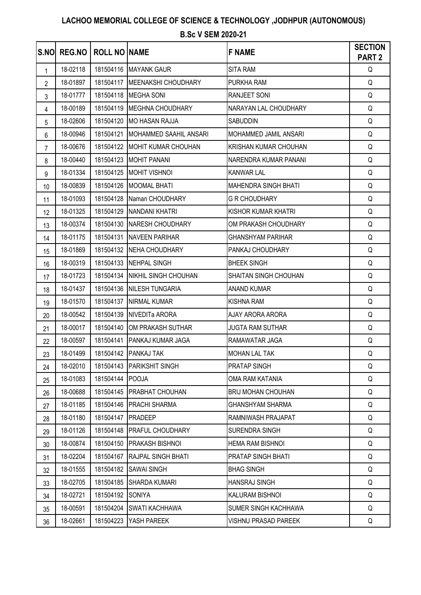## **LACHOO MEMORIAL COLLEGE OF SCIENCE & TECHNOLOGY ,JODHPUR (AUTONOMOUS)**

#### **B.Sc V SEM 2020-21**

| S.NO           | REG.NO   | <b>ROLL NO NAME</b> |                               | <b>F NAME</b>               | <b>SECTION</b><br><b>PART 2</b> |
|----------------|----------|---------------------|-------------------------------|-----------------------------|---------------------------------|
| $\mathbf{1}$   | 18-02118 |                     | 181504116 MAYANK GAUR         | <b>SITA RAM</b>             | Q                               |
| $\overline{2}$ | 18-01897 | 181504117           | MEENAKSHI CHOUDHARY           | PURKHA RAM                  | Q                               |
| 3              | 18-01777 |                     | 181504118 MEGHA SONI          | <b>RANJEET SONI</b>         | Q                               |
| 4              | 18-00189 | 181504119           | <b>MEGHNA CHOUDHARY</b>       | NARAYAN LAL CHOUDHARY       | Q                               |
| 5              | 18-02606 | 181504120           | <b>MO HASAN RAJJA</b>         | <b>SABUDDIN</b>             | Q                               |
| 6              | 18-00946 | 181504121           | <b>MOHAMMED SAAHIL ANSARI</b> | MOHAMMED JAMIL ANSARI       | Q                               |
| 7              | 18-00676 |                     | 181504122 MOHIT KUMAR CHOUHAN | KRISHAN KUMAR CHOUHAN       | Q                               |
| 8              | 18-00440 | 181504123           | <b>MOHIT PANANI</b>           | NARENDRA KUMAR PANANI       | Q                               |
| 9              | 18-01334 |                     | 181504125 MOHIT VISHNOI       | <b>KANWAR LAL</b>           | Q                               |
| 10             | 18-00839 | 181504126           | <b>MOOMAL BHATI</b>           | <b>MAHENDRA SINGH BHATI</b> | Q                               |
| 11             | 18-01093 | 181504128           | Naman CHOUDHARY               | <b>G R CHOUDHARY</b>        | Q                               |
| 12             | 18-01325 | 181504129           | NANDANI KHATRI                | <b>KISHOR KUMAR KHATRI</b>  | Q                               |
| 13             | 18-00374 |                     | 181504130 NARESH CHOUDHARY    | OM PRAKASH CHOUDHARY        | Q                               |
| 14             | 18-01175 | 181504131           | <b>NAVEEN PARIHAR</b>         | <b>GHANSHYAM PARIHAR</b>    | Q                               |
| 15             | 18-01869 | 181504132           | <b>NEHA CHOUDHARY</b>         | PANKAJ CHOUDHARY            | Q                               |
| 16             | 18-00319 |                     | 181504133 NEHPAL SINGH        | <b>BHEEK SINGH</b>          | Q                               |
| 17             | 18-01723 | 181504134           | <b>NIKHIL SINGH CHOUHAN</b>   | SHAITAN SINGH CHOUHAN       | Q                               |
| 18             | 18-01437 | 181504136           | <b>NILESH TUNGARIA</b>        | <b>ANAND KUMAR</b>          | Q                               |
| 19             | 18-01570 | 181504137           | <b>NIRMAL KUMAR</b>           | <b>KISHNA RAM</b>           | Q                               |
| 20             | 18-00542 |                     | 181504139 NIVEDITa ARORA      | AJAY ARORA ARORA            | Q                               |
| 21             | 18-00017 | 181504140           | OM PRAKASH SUTHAR             | <b>JUGTA RAM SUTHAR</b>     | Q                               |
| 22             | 18-00597 | 181504141           | <b>PANKAJ KUMAR JAGA</b>      | RAMAWATAR JAGA              | Q                               |
| 23             | 18-01499 | 181504142           | PANKAJ TAK                    | <b>MOHAN LAL TAK</b>        | Q                               |
| 24             | 18-02010 | 181504143           | PARIKSHIT SINGH               | PRATAP SINGH                | Q                               |
| 25             | 18-01083 | 181504144           | <b>POOJA</b>                  | OMA RAM KATANIA             | Q                               |
| 26             | 18-00688 | 181504145           | PRABHAT CHOUHAN               | <b>BRIJ MOHAN CHOUHAN</b>   | Q                               |
| 27             | 18-01185 | 181504146           | PRACHI SHARMA                 | <b>GHANSHYAM SHARMA</b>     | Q                               |
| 28             | 18-01180 | 181504147           | <b>PRADEEP</b>                | RAMNIWASH PRAJAPAT          | Q                               |
| 29             | 18-01126 | 181504148           | <b>PRAFUL CHOUDHARY</b>       | SURENDRA SINGH              | Q                               |
| 30             | 18-00874 | 181504150           | <b>PRAKASH BISHNOI</b>        | <b>HEMA RAM BISHNOI</b>     | Q                               |
| 31             | 18-02204 | 181504167           | <b>RAJPAL SINGH BHATI</b>     | <b>PRATAP SINGH BHATI</b>   | Q                               |
| 32             | 18-01555 | 181504182           | <b>SAWAI SINGH</b>            | <b>BHAG SINGH</b>           | Q                               |
| 33             | 18-02705 | 181504185           | <b>SHARDA KUMARI</b>          | <b>HANSRAJ SINGH</b>        | Q                               |
| 34             | 18-02721 | 181504192           | <b>SONIYA</b>                 | KALURAM BISHNOI             | Q                               |
| 35             | 18-00591 | 181504204           | <b>SWATI KACHHAWA</b>         | SUMER SINGH KACHHAWA        | Q                               |
| 36             | 18-02661 | 181504223           | YASH PAREEK                   | <b>VISHNU PRASAD PAREEK</b> | Q                               |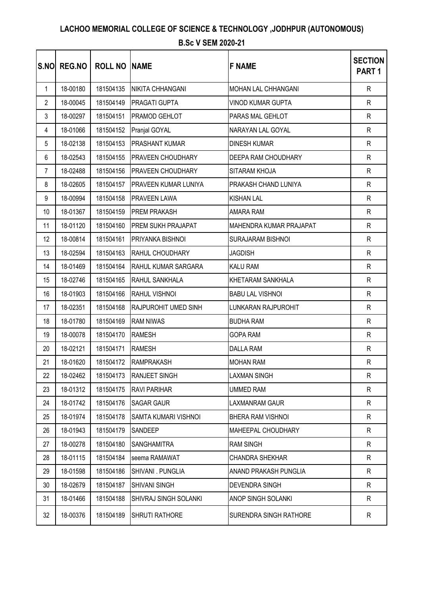| S.NO           | REG.NO   | <b>ROLL NO NAME</b> |                             | <b>F NAME</b>            | <b>SECTION</b><br>PART <sub>1</sub> |
|----------------|----------|---------------------|-----------------------------|--------------------------|-------------------------------------|
| 1              | 18-00180 | 181504135           | NIKITA CHHANGANI            | MOHAN LAL CHHANGANI      | $\mathsf{R}$                        |
| $\overline{2}$ | 18-00045 | 181504149           | PRAGATI GUPTA               | <b>VINOD KUMAR GUPTA</b> | $\mathsf{R}$                        |
| 3              | 18-00297 | 181504151           | <b>PRAMOD GEHLOT</b>        | PARAS MAL GEHLOT         | $\mathsf{R}$                        |
| 4              | 18-01066 | 181504152           | Pranjal GOYAL               | NARAYAN LAL GOYAL        | $\mathsf{R}$                        |
| 5              | 18-02138 | 181504153           | <b>PRASHANT KUMAR</b>       | <b>DINESH KUMAR</b>      | $\mathsf{R}$                        |
| 6              | 18-02543 | 181504155           | <b>PRAVEEN CHOUDHARY</b>    | DEEPA RAM CHOUDHARY      | $\mathsf{R}$                        |
| $\overline{7}$ | 18-02488 | 181504156           | PRAVEEN CHOUDHARY           | SITARAM KHOJA            | ${\sf R}$                           |
| 8              | 18-02605 | 181504157           | <b>PRAVEEN KUMAR LUNIYA</b> | PRAKASH CHAND LUNIYA     | $\mathsf{R}$                        |
| 9              | 18-00994 | 181504158           | PRAVEEN LAWA                | <b>KISHAN LAL</b>        | $\mathsf{R}$                        |
| 10             | 18-01367 | 181504159           | <b>PREM PRAKASH</b>         | AMARA RAM                | $\mathsf{R}$                        |
| 11             | 18-01120 | 181504160           | PREM SUKH PRAJAPAT          | MAHENDRA KUMAR PRAJAPAT  | $\mathsf{R}$                        |
| 12             | 18-00814 | 181504161           | PRIYANKA BISHNOI            | <b>SURAJARAM BISHNOI</b> | $\mathsf{R}$                        |
| 13             | 18-02594 | 181504163           | <b>RAHUL CHOUDHARY</b>      | <b>JAGDISH</b>           | $\mathsf{R}$                        |
| 14             | 18-01469 | 181504164           | RAHUL KUMAR SARGARA         | KALU RAM                 | $\mathsf{R}$                        |
| 15             | 18-02746 | 181504165           | RAHUL SANKHALA              | KHETARAM SANKHALA        | $\mathsf{R}$                        |
| 16             | 18-01903 | 181504166           | RAHUL VISHNOI               | <b>BABU LAL VISHNOI</b>  | $\mathsf{R}$                        |
| 17             | 18-02351 | 181504168           | RAJPUROHIT UMED SINH        | LUNKARAN RAJPUROHIT      | $\mathsf{R}$                        |
| 18             | 18-01780 | 181504169           | <b>RAM NIWAS</b>            | <b>BUDHA RAM</b>         | $\mathsf{R}$                        |
| 19             | 18-00078 | 181504170           | <b>RAMESH</b>               | <b>GOPA RAM</b>          | $\mathsf{R}$                        |
| 20             | 18-02121 | 181504171           | <b>RAMESH</b>               | <b>DALLA RAM</b>         | $\mathsf{R}$                        |
| 21             | 18-01620 | 181504172           | RAMPRAKASH                  | <b>MOHAN RAM</b>         | R                                   |
| 22             | 18-02462 | 181504173           | <b>RANJEET SINGH</b>        | <b>LAXMAN SINGH</b>      | R                                   |
| 23             | 18-01312 | 181504175           | <b>RAVI PARIHAR</b>         | <b>UMMED RAM</b>         | R                                   |
| 24             | 18-01742 | 181504176           | <b>SAGAR GAUR</b>           | LAXMANRAM GAUR           | $\mathsf{R}$                        |
| 25             | 18-01974 | 181504178           | SAMTA KUMARI VISHNOI        | BHERA RAM VISHNOI        | $\mathsf{R}$                        |
| 26             | 18-01943 | 181504179           | <b>SANDEEP</b>              | MAHEEPAL CHOUDHARY       | R                                   |
| 27             | 18-00278 | 181504180           | <b>SANGHAMITRA</b>          | <b>RAM SINGH</b>         | R                                   |
| 28             | 18-01115 | 181504184           | seema RAMAWAT               | CHANDRA SHEKHAR          | R                                   |
| 29             | 18-01598 | 181504186           | SHIVANI . PUNGLIA           | ANAND PRAKASH PUNGLIA    | R                                   |
| 30             | 18-02679 | 181504187           | <b>SHIVANI SINGH</b>        | <b>DEVENDRA SINGH</b>    | $\mathsf{R}$                        |
| 31             | 18-01466 | 181504188           | SHIVRAJ SINGH SOLANKI       | ANOP SINGH SOLANKI       | $\mathsf{R}$                        |
| 32             | 18-00376 | 181504189           | SHRUTI RATHORE              | SURENDRA SINGH RATHORE   | R                                   |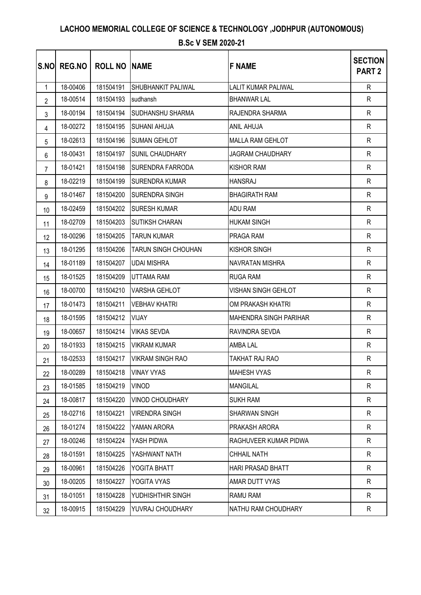| <b>S.NO</b>    | <b>REG.NO</b> | <b>ROLL NO INAME</b> |                            | <b>F NAME</b>                 | <b>SECTION</b><br><b>PART 2</b> |
|----------------|---------------|----------------------|----------------------------|-------------------------------|---------------------------------|
| $\mathbf{1}$   | 18-00406      | 181504191            | <b>SHUBHANKIT PALIWAL</b>  | <b>LALIT KUMAR PALIWAL</b>    | $\mathsf{R}$                    |
| $\overline{2}$ | 18-00514      | 181504193            | sudhansh                   | <b>BHANWAR LAL</b>            | $\mathsf{R}$                    |
| 3              | 18-00194      | 181504194            | <b>SUDHANSHU SHARMA</b>    | RAJENDRA SHARMA               | $\mathsf{R}$                    |
| 4              | 18-00272      | 181504195            | <b>SUHANI AHUJA</b>        | ANIL AHUJA                    | R                               |
| 5              | 18-02613      | 181504196            | <b>SUMAN GEHLOT</b>        | <b>MALLA RAM GEHLOT</b>       | $\mathsf{R}$                    |
| 6              | 18-00431      | 181504197            | SUNIL CHAUDHARY            | <b>JAGRAM CHAUDHARY</b>       | $\mathsf{R}$                    |
| $\overline{7}$ | 18-01421      | 181504198            | <b>SURENDRA FARRODA</b>    | <b>KISHOR RAM</b>             | $\mathsf{R}$                    |
| 8              | 18-02219      | 181504199            | <b>SURENDRA KUMAR</b>      | <b>HANSRAJ</b>                | $\mathsf{R}$                    |
| 9              | 18-01467      | 181504200            | SURENDRA SINGH             | <b>BHAGIRATH RAM</b>          | R                               |
| 10             | 18-02459      | 181504202            | <b>SURESH KUMAR</b>        | ADU RAM                       | $\mathsf{R}$                    |
| 11             | 18-02709      | 181504203            | <b>SUTIKSH CHARAN</b>      | <b>HUKAM SINGH</b>            | $\mathsf{R}$                    |
| 12             | 18-00296      | 181504205            | <b>TARUN KUMAR</b>         | <b>PRAGA RAM</b>              | $\mathsf{R}$                    |
| 13             | 18-01295      | 181504206            | <b>TARUN SINGH CHOUHAN</b> | <b>KISHOR SINGH</b>           | R                               |
| 14             | 18-01189      | 181504207            | <b>UDAI MISHRA</b>         | NAVRATAN MISHRA               | $\mathsf{R}$                    |
| 15             | 18-01525      | 181504209            | <b>UTTAMA RAM</b>          | <b>RUGA RAM</b>               | $\mathsf{R}$                    |
| 16             | 18-00700      | 181504210            | <b>VARSHA GEHLOT</b>       | <b>VISHAN SINGH GEHLOT</b>    | $\mathsf{R}$                    |
| 17             | 18-01473      | 181504211            | <b>VEBHAV KHATRI</b>       | OM PRAKASH KHATRI             | $\mathsf{R}$                    |
| 18             | 18-01595      | 181504212            | <b>VIJAY</b>               | <b>MAHENDRA SINGH PARIHAR</b> | R                               |
| 19             | 18-00657      | 181504214            | <b>VIKAS SEVDA</b>         | RAVINDRA SEVDA                | $\mathsf{R}$                    |
| 20             | 18-01933      | 181504215            | <b>VIKRAM KUMAR</b>        | AMBA LAL                      | $\mathsf{R}$                    |
| 21             | 18-02533      | 181504217            | <b>VIKRAM SINGH RAO</b>    | TAKHAT RAJ RAO                | $\mathsf{R}$                    |
| 22             | 18-00289      | 181504218            | <b>VINAY VYAS</b>          | <b>MAHESH VYAS</b>            | R                               |
| 23             | 18-01585      | 181504219            | <b>VINOD</b>               | <b>MANGILAL</b>               | R                               |
| 24             | 18-00817      | 181504220            | <b>VINOD CHOUDHARY</b>     | <b>SUKH RAM</b>               | $\mathsf{R}$                    |
| 25             | 18-02716      | 181504221            | <b>VIRENDRA SINGH</b>      | <b>SHARWAN SINGH</b>          | $\mathsf{R}$                    |
| 26             | 18-01274      | 181504222            | YAMAN ARORA                | PRAKASH ARORA                 | $\mathsf{R}$                    |
| 27             | 18-00246      | 181504224            | YASH PIDWA                 | RAGHUVEER KUMAR PIDWA         | R                               |
| 28             | 18-01591      | 181504225            | YASHWANT NATH              | <b>CHHAIL NATH</b>            | $\mathsf{R}$                    |
| 29             | 18-00961      | 181504226            | YOGITA BHATT               | <b>HARI PRASAD BHATT</b>      | $\mathsf{R}$                    |
| 30             | 18-00205      | 181504227            | YOGITA VYAS                | AMAR DUTT VYAS                | $\mathsf{R}$                    |
| 31             | 18-01051      | 181504228            | YUDHISHTHIR SINGH          | RAMU RAM                      | $\mathsf{R}$                    |
| 32             | 18-00915      | 181504229            | YUVRAJ CHOUDHARY           | NATHU RAM CHOUDHARY           | R                               |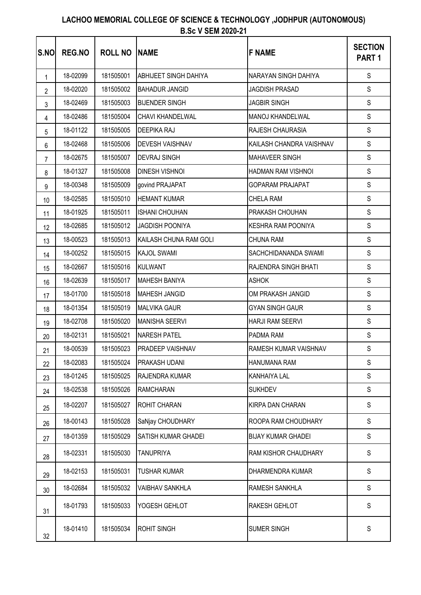| <b>S.NO</b> | <b>REG.NO</b> | <b>ROLL NO</b> | <b>INAME</b>                 | <b>F NAME</b>             | <b>SECTION</b><br>PART <sub>1</sub> |
|-------------|---------------|----------------|------------------------------|---------------------------|-------------------------------------|
| 1           | 18-02099      | 181505001      | <b>ABHIJEET SINGH DAHIYA</b> | NARAYAN SINGH DAHIYA      | S                                   |
| 2           | 18-02020      | 181505002      | <b>BAHADUR JANGID</b>        | JAGDISH PRASAD            | $\mathsf S$                         |
| 3           | 18-02469      | 181505003      | <b>BIJENDER SINGH</b>        | <b>JAGBIR SINGH</b>       | $\mathsf S$                         |
| 4           | 18-02486      | 181505004      | CHAVI KHANDELWAL             | MANOJ KHANDELWAL          | $\mathsf S$                         |
| 5           | 18-01122      | 181505005      | <b>DEEPIKA RAJ</b>           | RAJESH CHAURASIA          | $\mathbb S$                         |
| 6           | 18-02468      | 181505006      | <b>DEVESH VAISHNAV</b>       | KAILASH CHANDRA VAISHNAV  | $\mathsf S$                         |
| 7           | 18-02675      | 181505007      | <b>DEVRAJ SINGH</b>          | <b>MAHAVEER SINGH</b>     | S                                   |
| 8           | 18-01327      | 181505008      | <b>DINESH VISHNOI</b>        | HADMAN RAM VISHNOI        | S                                   |
| 9           | 18-00348      | 181505009      | govind PRAJAPAT              | <b>GOPARAM PRAJAPAT</b>   | S                                   |
| 10          | 18-02585      | 181505010      | <b>HEMANT KUMAR</b>          | CHELA RAM                 | $\mathsf S$                         |
| 11          | 18-01925      | 181505011      | <b>ISHANI CHOUHAN</b>        | PRAKASH CHOUHAN           | $\mathsf S$                         |
| 12          | 18-02685      | 181505012      | <b>JAGDISH POONIYA</b>       | <b>KESHRA RAM POONIYA</b> | S                                   |
| 13          | 18-00523      | 181505013      | KAILASH CHUNA RAM GOLI       | CHUNA RAM                 | $\mathsf S$                         |
| 14          | 18-00252      | 181505015      | <b>KAJOL SWAMI</b>           | SACHCHIDANANDA SWAMI      | S                                   |
| 15          | 18-02667      | 181505016      | KULWANT                      | RAJENDRA SINGH BHATI      | $\mathbb S$                         |
| 16          | 18-02639      | 181505017      | <b>MAHESH BANIYA</b>         | <b>ASHOK</b>              | S                                   |
| 17          | 18-01700      | 181505018      | MAHESH JANGID                | OM PRAKASH JANGID         | S                                   |
| 18          | 18-01354      | 181505019      | <b>MALVIKA GAUR</b>          | <b>GYAN SINGH GAUR</b>    | $\mathsf S$                         |
| 19          | 18-02708      | 181505020      | <b>MANISHA SEERVI</b>        | HARJI RAM SEERVI          | $\mathsf S$                         |
| 20          | 18-02131      | 181505021      | <b>NARESH PATEL</b>          | PADMA RAM                 | $\mathsf S$                         |
| 21          | 18-00539      | 181505023      | <b>PRADEEP VAISHNAV</b>      | RAMESH KUMAR VAISHNAV     | S                                   |
| 22          | 18-02083      | 181505024      | PRAKASH UDANI                | HANUMANA RAM              | $\mathbb S$                         |
| 23          | 18-01245      | 181505025      | RAJENDRA KUMAR               | KANHAIYA LAL              | $\mathbb S$                         |
| 24          | 18-02538      | 181505026      | <b>RAMCHARAN</b>             | <b>SUKHDEV</b>            | $\mathbb S$                         |
| 25          | 18-02207      | 181505027      | ROHIT CHARAN                 | KIRPA DAN CHARAN          | $\mathbb S$                         |
| 26          | 18-00143      | 181505028      | SaNjay CHOUDHARY             | ROOPA RAM CHOUDHARY       | $\mathbb S$                         |
| 27          | 18-01359      | 181505029      | SATISH KUMAR GHADEI          | <b>BIJAY KUMAR GHADEI</b> | $\mathbb S$                         |
| 28          | 18-02331      | 181505030      | <b>TANUPRIYA</b>             | RAM KISHOR CHAUDHARY      | $\mathbb S$                         |
| 29          | 18-02153      | 181505031      | <b>TUSHAR KUMAR</b>          | DHARMENDRA KUMAR          | S                                   |
| 30          | 18-02684      | 181505032      | <b>VAIBHAV SANKHLA</b>       | RAMESH SANKHLA            | $\mathbb S$                         |
| 31          | 18-01793      | 181505033      | YOGESH GEHLOT                | RAKESH GEHLOT             | S                                   |
| 32          | 18-01410      | 181505034      | <b>ROHIT SINGH</b>           | SUMER SINGH               | S                                   |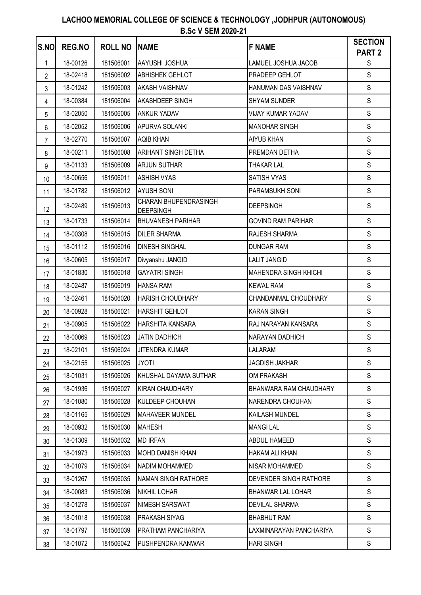| S.NO           | <b>REG.NO</b> | <b>ROLL NO</b> | <b>NAME</b>                               | <b>F NAME</b>                | <b>SECTION</b><br><b>PART 2</b> |
|----------------|---------------|----------------|-------------------------------------------|------------------------------|---------------------------------|
| 1              | 18-00126      | 181506001      | AAYUSHI JOSHUA                            | LAMUEL JOSHUA JACOB          | ${\mathbb S}$                   |
| $\overline{2}$ | 18-02418      | 181506002      | <b>ABHISHEK GEHLOT</b>                    | PRADEEP GEHLOT               | $\mathsf{S}$                    |
| 3              | 18-01242      | 181506003      | <b>AKASH VAISHNAV</b>                     | HANUMAN DAS VAISHNAV         | $\mathsf S$                     |
| 4              | 18-00384      | 181506004      | AKASHDEEP SINGH                           | <b>SHYAM SUNDER</b>          | $\mathsf S$                     |
| 5              | 18-02050      | 181506005      | <b>ANKUR YADAV</b>                        | <b>VIJAY KUMAR YADAV</b>     | $\mathsf S$                     |
| 6              | 18-02052      | 181506006      | <b>APURVA SOLANKI</b>                     | <b>MANOHAR SINGH</b>         | $\mathsf{S}$                    |
| $\overline{7}$ | 18-02770      | 181506007      | <b>AQIB KHAN</b>                          | <b>AIYUB KHAN</b>            | $\mathsf S$                     |
| 8              | 18-00211      | 181506008      | <b>ARIHANT SINGH DETHA</b>                | PREMDAN DETHA                | $\mathsf S$                     |
| 9              | 18-01133      | 181506009      | <b>ARJUN SUTHAR</b>                       | <b>THAKAR LAL</b>            | $\mathsf S$                     |
| 10             | 18-00656      | 181506011      | <b>ASHISH VYAS</b>                        | SATISH VYAS                  | $\mathsf S$                     |
| 11             | 18-01782      | 181506012      | <b>AYUSH SONI</b>                         | PARAMSUKH SONI               | $\mathsf S$                     |
| 12             | 18-02489      | 181506013      | CHARAN BHUPENDRASINGH<br><b>DEEPSINGH</b> | <b>DEEPSINGH</b>             | $\mathsf S$                     |
| 13             | 18-01733      | 181506014      | <b>BHUVANESH PARIHAR</b>                  | <b>GOVIND RAM PARIHAR</b>    | S                               |
| 14             | 18-00308      | 181506015      | <b>DILER SHARMA</b>                       | RAJESH SHARMA                | S                               |
| 15             | 18-01112      | 181506016      | <b>DINESH SINGHAL</b>                     | <b>DUNGAR RAM</b>            | $\mathsf S$                     |
| 16             | 18-00605      | 181506017      | Divyanshu JANGID                          | <b>LALIT JANGID</b>          | $\mathsf{S}$                    |
| 17             | 18-01830      | 181506018      | <b>GAYATRI SINGH</b>                      | <b>MAHENDRA SINGH KHICHI</b> | $\mathsf{S}$                    |
| 18             | 18-02487      | 181506019      | <b>HANSA RAM</b>                          | <b>KEWAL RAM</b>             | $\mathsf{S}$                    |
| 19             | 18-02461      | 181506020      | <b>HARISH CHOUDHARY</b>                   | CHANDANMAL CHOUDHARY         | $\mathsf S$                     |
| 20             | 18-00928      | 181506021      | <b>HARSHIT GEHLOT</b>                     | <b>KARAN SINGH</b>           | $\mathsf S$                     |
| 21             | 18-00905      | 181506022      | HARSHITA KANSARA                          | RAJ NARAYAN KANSARA          | $\mathsf S$                     |
| 22             | 18-00069      | 181506023      | <b>JATIN DADHICH</b>                      | NARAYAN DADHICH              | $\mathsf S$                     |
| 23             | 18-02101      | 181506024      | <b>JITENDRA KUMAR</b>                     | LALARAM                      | $\mathsf S$                     |
| 24             | 18-02155      | 181506025      | <b>JYOTI</b>                              | JAGDISH JAKHAR               | S                               |
| 25             | 18-01031      | 181506026      | KHUSHAL DAYAMA SUTHAR                     | <b>OM PRAKASH</b>            | $\mathsf{S}$                    |
| 26             | 18-01936      | 181506027      | <b>KIRAN CHAUDHARY</b>                    | BHANWARA RAM CHAUDHARY       | $\mathbb S$                     |
| 27             | 18-01080      | 181506028      | KULDEEP CHOUHAN                           | NARENDRA CHOUHAN             | $\mathbb S$                     |
| 28             | 18-01165      | 181506029      | <b>MAHAVEER MUNDEL</b>                    | KAILASH MUNDEL               | $\mathbb S$                     |
| 29             | 18-00932      | 181506030      | <b>MAHESH</b>                             | <b>MANGILAL</b>              | $\mathbb S$                     |
| 30             | 18-01309      | 181506032      | <b>MD IRFAN</b>                           | ABDUL HAMEED                 | $\mathbb S$                     |
| 31             | 18-01973      | 181506033      | <b>MOHD DANISH KHAN</b>                   | HAKAM ALI KHAN               | $\mathsf S$                     |
| 32             | 18-01079      | 181506034      | <b>NADIM MOHAMMED</b>                     | NISAR MOHAMMED               | $\mathbb S$                     |
| 33             | 18-01267      | 181506035      | <b>NAMAN SINGH RATHORE</b>                | DEVENDER SINGH RATHORE       | $\mathsf S$                     |
| 34             | 18-00083      | 181506036      | <b>NIKHIL LOHAR</b>                       | <b>BHANWAR LAL LOHAR</b>     | S                               |
| 35             | 18-01278      | 181506037      | NIMESH SARSWAT                            | <b>DEVILAL SHARMA</b>        | S                               |
| 36             | 18-01018      | 181506038      | <b>PRAKASH SIYAG</b>                      | <b>BHABHUT RAM</b>           | S                               |
| 37             | 18-01797      | 181506039      | PRATHAM PANCHARIYA                        | LAXMINARAYAN PANCHARIYA      | $\mathbb S$                     |
| 38             | 18-01072      | 181506042      | PUSHPENDRA KANWAR                         | <b>HARI SINGH</b>            | ${\mathsf S}$                   |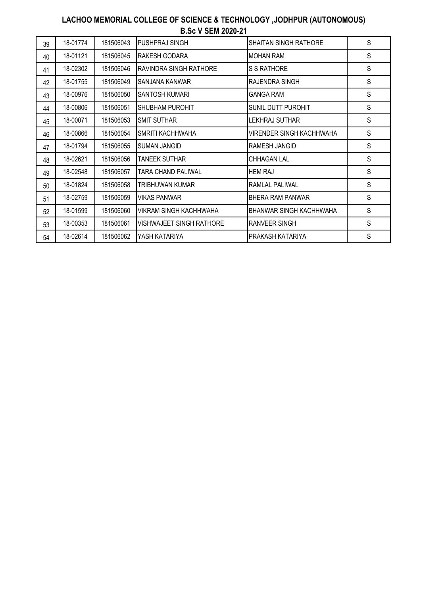| 39 | 18-01774 | 181506043 | PUSHPRAJ SINGH                  | SHAITAN SINGH RATHORE          | S |
|----|----------|-----------|---------------------------------|--------------------------------|---|
| 40 | 18-01121 | 181506045 | RAKESH GODARA                   | MOHAN RAM                      | S |
| 41 | 18-02302 | 181506046 | <b>RAVINDRA SINGH RATHORE</b>   | <b>S S RATHORE</b>             | S |
| 42 | 18-01755 | 181506049 | SANJANA KANWAR                  | RAJENDRA SINGH                 | S |
| 43 | 18-00976 | 181506050 | <b>SANTOSH KUMARI</b>           | GANGA RAM                      | S |
| 44 | 18-00806 | 181506051 | <b>SHUBHAM PUROHIT</b>          | SUNIL DUTT PUROHIT             | S |
| 45 | 18-00071 | 181506053 | <b>SMIT SUTHAR</b>              | LEKHRAJ SUTHAR                 | S |
| 46 | 18-00866 | 181506054 | <b>SMRITI KACHHWAHA</b>         | VIRENDER SINGH KACHHWAHA       | S |
| 47 | 18-01794 | 181506055 | <b>SUMAN JANGID</b>             | RAMESH JANGID                  | S |
| 48 | 18-02621 | 181506056 | TANEEK SUTHAR                   | <b>CHHAGAN LAL</b>             | S |
| 49 | 18-02548 | 181506057 | TARA CHAND PALIWAL              | <b>HEM RAJ</b>                 | S |
| 50 | 18-01824 | 181506058 | TRIBHUWAN KUMAR                 | RAMLAL PALIWAL                 | S |
| 51 | 18-02759 | 181506059 | <b>VIKAS PANWAR</b>             | <b>BHERA RAM PANWAR</b>        | S |
| 52 | 18-01599 | 181506060 | VIKRAM SINGH KACHHWAHA          | <b>BHANWAR SINGH KACHHWAHA</b> | S |
| 53 | 18-00353 | 181506061 | <b>VISHWAJEET SINGH RATHORE</b> | RANVEER SINGH                  | S |
| 54 | 18-02614 | 181506062 | YASH KATARIYA                   | PRAKASH KATARIYA               | S |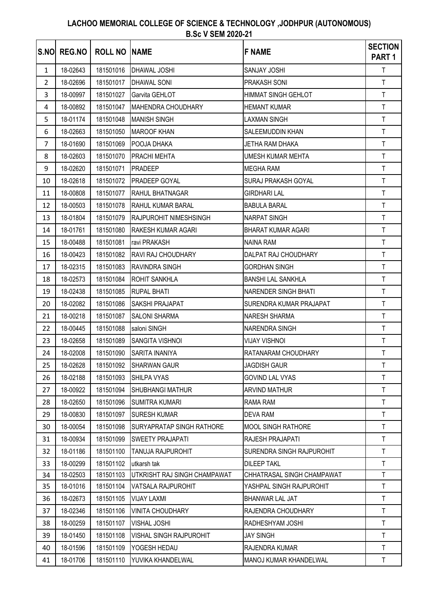| S.NO         | <b>REG.NO</b> | <b>ROLL NO NAME</b> |                                | <b>F NAME</b>              | <b>SECTION</b><br>PART <sub>1</sub> |
|--------------|---------------|---------------------|--------------------------------|----------------------------|-------------------------------------|
| $\mathbf{1}$ | 18-02643      | 181501016           | DHAWAL JOSHI                   | SANJAY JOSHI               | T.                                  |
| 2            | 18-02696      | 181501017           | <b>DHAWAL SONI</b>             | <b>PRAKASH SONI</b>        | T                                   |
| 3            | 18-00997      | 181501027           | Garvita GEHLOT                 | HIMMAT SINGH GEHLOT        | $\mathsf T$                         |
| 4            | 18-00892      | 181501047           | <b>MAHENDRA CHOUDHARY</b>      | <b>HEMANT KUMAR</b>        | $\mathsf T$                         |
| 5            | 18-01174      | 181501048           | <b>MANISH SINGH</b>            | LAXMAN SINGH               | $\mathsf T$                         |
| 6            | 18-02663      | 181501050           | <b>MAROOF KHAN</b>             | SALEEMUDDIN KHAN           | $\mathsf T$                         |
| 7            | 18-01690      | 181501069           | POOJA DHAKA                    | JETHA RAM DHAKA            | $\mathsf T$                         |
| 8            | 18-02603      | 181501070           | <b>PRACHI MEHTA</b>            | UMESH KUMAR MEHTA          | $\mathsf{T}$                        |
| 9            | 18-02620      | 181501071           | <b>PRADEEP</b>                 | <b>MEGHA RAM</b>           | $\mathsf T$                         |
| 10           | 18-02618      | 181501072           | <b>PRADEEP GOYAL</b>           | SURAJ PRAKASH GOYAL        | T                                   |
| 11           | 18-00808      | 181501077           | RAHUL BHATNAGAR                | <b>GIRDHARI LAL</b>        | T.                                  |
| 12           | 18-00503      | 181501078           | <b>RAHUL KUMAR BARAL</b>       | <b>BABULA BARAL</b>        | T                                   |
| 13           | 18-01804      | 181501079           | <b>IRAJPUROHIT NIMESHSINGH</b> | <b>NARPAT SINGH</b>        | $\mathsf T$                         |
| 14           | 18-01761      | 181501080           | <b>RAKESH KUMAR AGARI</b>      | <b>BHARAT KUMAR AGARI</b>  | $\mathsf T$                         |
| 15           | 18-00488      | 181501081           | ravi PRAKASH                   | <b>NAINA RAM</b>           | $\mathsf T$                         |
| 16           | 18-00423      | 181501082           | RAVI RAJ CHOUDHARY             | DALPAT RAJ CHOUDHARY       | T.                                  |
| 17           | 18-02315      | 181501083           | RAVINDRA SINGH                 | <b>GORDHAN SINGH</b>       | $\mathsf T$                         |
| 18           | 18-02573      | 181501084           | <b>ROHIT SANKHLA</b>           | <b>BANSHI LAL SANKHLA</b>  | $\mathsf{T}$                        |
| 19           | 18-02438      | 181501085           | <b>RUPAL BHATI</b>             | NARENDER SINGH BHATI       | T                                   |
| 20           | 18-02082      | 181501086           | SAKSHI PRAJAPAT                | SURENDRA KUMAR PRAJAPAT    | T                                   |
| 21           | 18-00218      | 181501087           | <b>SALONI SHARMA</b>           | <b>NARESH SHARMA</b>       | T.                                  |
| 22           | 18-00445      | 181501088           | saloni SINGH                   | <b>NARENDRA SINGH</b>      | $\mathsf T$                         |
| 23           | 18-02658      | 181501089           | <b>ISANGITA VISHNOI</b>        | VIJAY VISHNOI              | T                                   |
| 24           | 18-02008      | 181501090           | <b>SARITA INANIYA</b>          | RATANARAM CHOUDHARY        | $\mathsf T$                         |
| 25           | 18-02628      | 181501092           | <b>SHARWAN GAUR</b>            | <b>JAGDISH GAUR</b>        | $\mathsf{T}$                        |
| 26           | 18-02188      | 181501093           | SHILPA VYAS                    | <b>GOVIND LAL VYAS</b>     | T.                                  |
| 27           | 18-00922      | 181501094           | SHUBHANGI MATHUR               | <b>ARVIND MATHUR</b>       | $\mathsf{T}$                        |
| 28           | 18-02650      | 181501096           | <b>SUMITRA KUMARI</b>          | RAMA RAM                   | $\mathsf{T}$                        |
| 29           | 18-00830      | 181501097           | <b>SURESH KUMAR</b>            | DEVA RAM                   | $\mathsf T$                         |
| 30           | 18-00054      | 181501098           | SURYAPRATAP SINGH RATHORE      | MOOL SINGH RATHORE         | T                                   |
| 31           | 18-00934      | 181501099           | <b>SWEETY PRAJAPATI</b>        | RAJESH PRAJAPATI           | T                                   |
| 32           | 18-01186      | 181501100           | TANUJA RAJPUROHIT              | SURENDRA SINGH RAJPUROHIT  | $\mathsf T$                         |
| 33           | 18-00299      | 181501102           | utkarsh tak                    | <b>DILEEP TAKL</b>         | T.                                  |
| 34           | 18-02503      | 181501103           | UTKRISHT RAJ SINGH CHAMPAWAT   | CHHATRASAL SINGH CHAMPAWAT | $\mathsf T$                         |
| 35           | 18-01016      | 181501104           | VATSALA RAJPUROHIT             | YASHPAL SINGH RAJPUROHIT   | $\mathsf{T}$                        |
| 36           | 18-02673      | 181501105           | <b>VIJAY LAXMI</b>             | BHANWAR LAL JAT            | T                                   |
| 37           | 18-02346      | 181501106           | <b>VINITA CHOUDHARY</b>        | RAJENDRA CHOUDHARY         | $\mathsf{T}$                        |
| 38           | 18-00259      | 181501107           | <b>VISHAL JOSHI</b>            | RADHESHYAM JOSHI           | T.                                  |
| 39           | 18-01450      | 181501108           | <b>VISHAL SINGH RAJPUROHIT</b> | <b>JAY SINGH</b>           | $\mathsf T$                         |
| 40           | 18-01596      | 181501109           | YOGESH HEDAU                   | RAJENDRA KUMAR             | $\mathsf T$                         |
| 41           | 18-01706      | 181501110           | YUVIKA KHANDELWAL              | MANOJ KUMAR KHANDELWAL     | $\mathsf T$                         |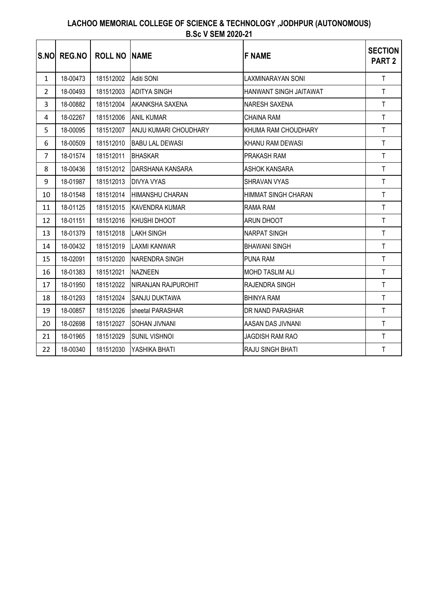| <b>S.NO</b>    | <b>REG.NO</b> | <b>ROLL NO INAME</b> |                        | <b>F NAME</b>              | <b>SECTION</b><br>PART <sub>2</sub> |
|----------------|---------------|----------------------|------------------------|----------------------------|-------------------------------------|
| $\mathbf{1}$   | 18-00473      | 181512002            | Aditi SONI             | <b>LAXMINARAYAN SONI</b>   | $\mathsf T$                         |
| 2              | 18-00493      | 181512003            | <b>ADITYA SINGH</b>    | HANWANT SINGH JAITAWAT     | $\mathsf T$                         |
| 3              | 18-00882      | 181512004            | <b>AKANKSHA SAXENA</b> | <b>NARESH SAXENA</b>       | $\mathsf T$                         |
| 4              | 18-02267      | 181512006            | <b>ANIL KUMAR</b>      | <b>CHAINA RAM</b>          | $\mathsf T$                         |
| 5              | 18-00095      | 181512007            | ANJU KUMARI CHOUDHARY  | KHUMA RAM CHOUDHARY        | $\mathsf T$                         |
| 6              | 18-00509      | 181512010            | <b>BABU LAL DEWASI</b> | KHANU RAM DEWASI           | $\mathsf T$                         |
| $\overline{7}$ | 18-01574      | 181512011            | <b>BHASKAR</b>         | PRAKASH RAM                | $\mathsf T$                         |
| 8              | 18-00436      | 181512012            | DARSHANA KANSARA       | ASHOK KANSARA              | $\mathsf T$                         |
| 9              | 18-01987      | 181512013            | <b>DIVYA VYAS</b>      | <b>SHRAVAN VYAS</b>        | T                                   |
| 10             | 18-01548      | 181512014            | HIMANSHU CHARAN        | <b>HIMMAT SINGH CHARAN</b> | $\mathsf T$                         |
| 11             | 18-01125      | 181512015            | <b>KAVENDRA KUMAR</b>  | <b>RAMA RAM</b>            | $\mathsf T$                         |
| 12             | 18-01151      | 181512016            | <b>KHUSHI DHOOT</b>    | ARUN DHOOT                 | $\mathsf T$                         |
| 13             | 18-01379      | 181512018            | <b>LAKH SINGH</b>      | <b>NARPAT SINGH</b>        | $\mathsf T$                         |
| 14             | 18-00432      | 181512019            | <b>LAXMI KANWAR</b>    | <b>BHAWANI SINGH</b>       | $\mathsf T$                         |
| 15             | 18-02091      | 181512020            | <b>NARENDRA SINGH</b>  | PUNA RAM                   | $\mathsf{T}$                        |
| 16             | 18-01383      | 181512021            | <b>NAZNEEN</b>         | <b>MOHD TASLIM ALI</b>     | $\mathsf{T}$                        |
| 17             | 18-01950      | 181512022            | NIRANJAN RAJPUROHIT    | RAJENDRA SINGH             | $\mathsf T$                         |
| 18             | 18-01293      | 181512024            | <b>SANJU DUKTAWA</b>   | <b>BHINYA RAM</b>          | $\mathsf{T}$                        |
| 19             | 18-00857      | 181512026            | sheetal PARASHAR       | DR NAND PARASHAR           | $\mathsf T$                         |
| 20             | 18-02698      | 181512027            | <b>SOHAN JIVNANI</b>   | AASAN DAS JIVNANI          | $\mathsf T$                         |
| 21             | 18-01965      | 181512029            | <b>SUNIL VISHNOI</b>   | <b>JAGDISH RAM RAO</b>     | $\mathsf T$                         |
| 22             | 18-00340      | 181512030            | YASHIKA BHATI          | RAJU SINGH BHATI           | $\mathsf T$                         |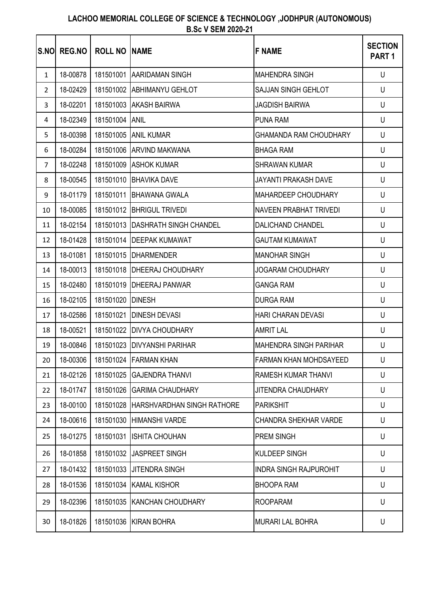| <b>S.NOL</b>   | <b>REG.NO</b> | <b>ROLL NO</b> | <b>INAME</b>                     | <b>F NAME</b>                 | <b>SECTION</b><br>PART <sub>1</sub> |
|----------------|---------------|----------------|----------------------------------|-------------------------------|-------------------------------------|
| $\mathbf{1}$   | 18-00878      | 181501001      | <b>AARIDAMAN SINGH</b>           | <b>MAHENDRA SINGH</b>         | U                                   |
| $\overline{2}$ | 18-02429      | 181501002      | <b>ABHIMANYU GEHLOT</b>          | <b>SAJJAN SINGH GEHLOT</b>    | U                                   |
| 3              | 18-02201      | 181501003      | <b>AKASH BAIRWA</b>              | <b>JAGDISH BAIRWA</b>         | U                                   |
| 4              | 18-02349      | 181501004      | <b>ANIL</b>                      | <b>PUNA RAM</b>               | U                                   |
| 5              | 18-00398      |                | 181501005 ANIL KUMAR             | <b>GHAMANDA RAM CHOUDHARY</b> | U                                   |
| 6              | 18-00284      |                | 181501006 ARVIND MAKWANA         | <b>BHAGA RAM</b>              | U                                   |
| $\overline{7}$ | 18-02248      |                | 181501009 ASHOK KUMAR            | <b>SHRAWAN KUMAR</b>          | U                                   |
| 8              | 18-00545      | 181501010      | <b>BHAVIKA DAVE</b>              | JAYANTI PRAKASH DAVE          | U                                   |
| 9              | 18-01179      | 181501011      | <b>BHAWANA GWALA</b>             | MAHARDEEP CHOUDHARY           | U                                   |
| 10             | 18-00085      |                | 181501012 BHRIGUL TRIVEDI        | NAVEEN PRABHAT TRIVEDI        | U                                   |
| 11             | 18-02154      |                | 181501013 DASHRATH SINGH CHANDEL | <b>DALICHAND CHANDEL</b>      | U                                   |
| 12             | 18-01428      |                | 181501014   DEEPAK KUMAWAT       | <b>GAUTAM KUMAWAT</b>         | U                                   |
| 13             | 18-01081      |                | 181501015 DHARMENDER             | <b>MANOHAR SINGH</b>          | U                                   |
| 14             | 18-00013      |                | 181501018   DHEERAJ CHOUDHARY    | JOGARAM CHOUDHARY             | U                                   |
| 15             | 18-02480      | 181501019      | <b>DHEERAJ PANWAR</b>            | <b>GANGA RAM</b>              | U                                   |
| 16             | 18-02105      | 181501020      | <b>DINESH</b>                    | <b>DURGA RAM</b>              | U                                   |
| 17             | 18-02586      | 181501021      | <b>DINESH DEVASI</b>             | <b>HARI CHARAN DEVASI</b>     | U                                   |
| 18             | 18-00521      |                | 181501022 DIVYA CHOUDHARY        | <b>AMRIT LAL</b>              | U                                   |
| 19             | 18-00846      |                | 181501023 DIVYANSHI PARIHAR      | <b>MAHENDRA SINGH PARIHAR</b> | U                                   |
| 20             | 18-00306      |                | 181501024 FARMAN KHAN            | FARMAN KHAN MOHDSAYEED        | U                                   |
| 21             | 18-02126      | 181501025      | <b>GAJENDRA THANVI</b>           | RAMESH KUMAR THANVI           | U                                   |
| 22             | 18-01747      | 181501026      | <b>GARIMA CHAUDHARY</b>          | <b>JITENDRA CHAUDHARY</b>     | U                                   |
| 23             | 18-00100      | 181501028      | HARSHVARDHAN SINGH RATHORE       | <b>PARIKSHIT</b>              | U                                   |
| 24             | 18-00616      | 181501030      | <b>HIMANSHI VARDE</b>            | CHANDRA SHEKHAR VARDE         | U                                   |
| 25             | 18-01275      | 181501031      | <b>ISHITA CHOUHAN</b>            | PREM SINGH                    | U                                   |
| 26             | 18-01858      | 181501032      | <b>JASPREET SINGH</b>            | <b>KULDEEP SINGH</b>          | U                                   |
| 27             | 18-01432      | 181501033      | <b>JITENDRA SINGH</b>            | <b>INDRA SINGH RAJPUROHIT</b> | U                                   |
| 28             | 18-01536      | 181501034      | <b>KAMAL KISHOR</b>              | <b>BHOOPA RAM</b>             | U                                   |
| 29             | 18-02396      | 181501035      | <b>KANCHAN CHOUDHARY</b>         | <b>ROOPARAM</b>               | U                                   |
| 30             | 18-01826      | 181501036      | <b>KIRAN BOHRA</b>               | <b>MURARI LAL BOHRA</b>       | U                                   |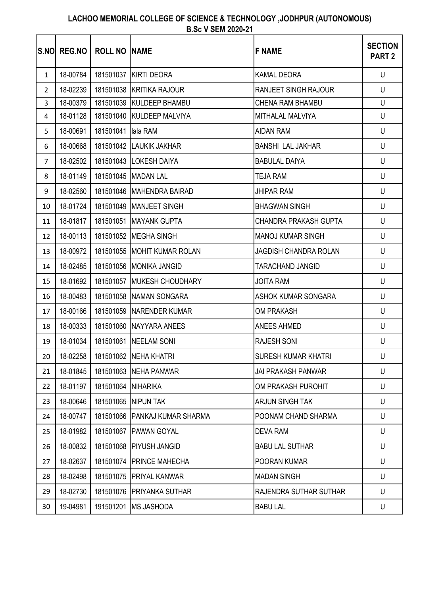| <b>S.NO</b>    | <b>REG.NO</b> | <b>ROLL NO INAME</b> |                               | <b>F NAME</b>                | <b>SECTION</b><br><b>PART 2</b> |
|----------------|---------------|----------------------|-------------------------------|------------------------------|---------------------------------|
| $\mathbf{1}$   | 18-00784      |                      | 181501037 KIRTI DEORA         | <b>KAMAL DEORA</b>           | U                               |
| $\overline{2}$ | 18-02239      |                      | 181501038 KRITIKA RAJOUR      | <b>RANJEET SINGH RAJOUR</b>  | U                               |
| 3              | 18-00379      |                      | 181501039 KULDEEP BHAMBU      | <b>CHENA RAM BHAMBU</b>      | $\cup$                          |
| 4              | 18-01128      |                      | 181501040 KULDEEP MALVIYA     | MITHALAL MALVIYA             | U                               |
| 5              | 18-00691      | 181501041 Iala RAM   |                               | <b>AIDAN RAM</b>             | U                               |
| 6              | 18-00668      |                      | 181501042 LAUKIK JAKHAR       | <b>BANSHI LAL JAKHAR</b>     | U                               |
| $\overline{7}$ | 18-02502      |                      | 181501043 LOKESH DAIYA        | <b>BABULAL DAIYA</b>         | U                               |
| 8              | 18-01149      |                      | 181501045   MADAN LAL         | <b>TEJA RAM</b>              | U                               |
| 9              | 18-02560      |                      | 181501046   MAHENDRA BAIRAD   | <b>JHIPAR RAM</b>            | U                               |
| 10             | 18-01724      |                      | 181501049 MANJEET SINGH       | <b>BHAGWAN SINGH</b>         | U                               |
| 11             | 18-01817      |                      | 181501051 MAYANK GUPTA        | <b>CHANDRA PRAKASH GUPTA</b> | U                               |
| 12             | 18-00113      |                      | 181501052 MEGHA SINGH         | <b>MANOJ KUMAR SINGH</b>     | U                               |
| 13             | 18-00972      |                      | 181501055 MOHIT KUMAR ROLAN   | <b>JAGDISH CHANDRA ROLAN</b> | U                               |
| 14             | 18-02485      |                      | 181501056 MONIKA JANGID       | <b>TARACHAND JANGID</b>      | U                               |
| 15             | 18-01692      |                      | 181501057 MUKESH CHOUDHARY    | <b>JOITA RAM</b>             | U                               |
| 16             | 18-00483      |                      | 181501058 NAMAN SONGARA       | <b>ASHOK KUMAR SONGARA</b>   | U                               |
| 17             | 18-00166      |                      | 181501059 NARENDER KUMAR      | <b>OM PRAKASH</b>            | U                               |
| 18             | 18-00333      |                      | 181501060 NAYYARA ANEES       | <b>ANEES AHMED</b>           | U                               |
| 19             | 18-01034      |                      | 181501061 NEELAM SONI         | <b>RAJESH SONI</b>           | U                               |
| 20             | 18-02258      |                      | 181501062 NEHA KHATRI         | <b>SURESH KUMAR KHATRI</b>   | $\cup$                          |
| 21             | 18-01845      |                      | 181501063 NEHA PANWAR         | JAI PRAKASH PANWAR           | U                               |
| 22             | 18-01197      | 181501064 NIHARIKA   |                               | OM PRAKASH PUROHIT           | U                               |
| 23             | 18-00646      |                      | 181501065 NIPUN TAK           | ARJUN SINGH TAK              | U                               |
| 24             | 18-00747      |                      | 181501066 PANKAJ KUMAR SHARMA | POONAM CHAND SHARMA          | U                               |
| 25             | 18-01982      |                      | 181501067   PAWAN GOYAL       | DEVA RAM                     | U                               |
| 26             | 18-00832      |                      | 181501068 PIYUSH JANGID       | <b>BABU LAL SUTHAR</b>       | U                               |
| 27             | 18-02637      |                      | 181501074 PRINCE MAHECHA      | POORAN KUMAR                 | U                               |
| 28             | 18-02498      |                      | 181501075 PRIYAL KANWAR       | <b>MADAN SINGH</b>           | U                               |
| 29             | 18-02730      | 181501076            | PRIYANKA SUTHAR               | RAJENDRA SUTHAR SUTHAR       | U                               |
| 30             | 19-04981      |                      | 191501201 MS.JASHODA          | <b>BABU LAL</b>              | U                               |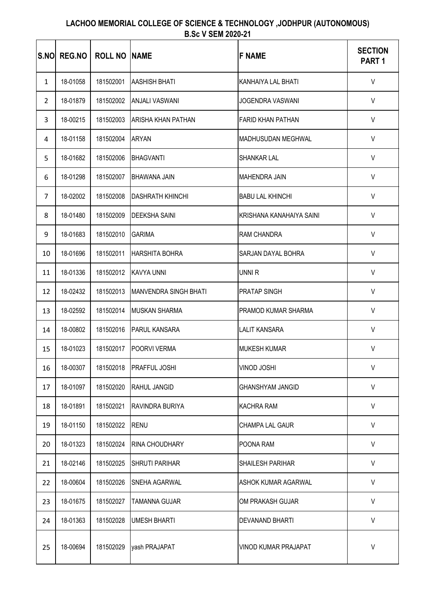| <b>S.NO</b>    | <b>REG.NO</b> | <b>ROLL NO</b> | <b>INAME</b>                 | <b>F NAME</b>              | <b>SECTION</b><br>PART <sub>1</sub> |
|----------------|---------------|----------------|------------------------------|----------------------------|-------------------------------------|
| $\mathbf{1}$   | 18-01058      | 181502001      | <b>AASHISH BHATI</b>         | KANHAIYA LAL BHATI         | V                                   |
| $\overline{2}$ | 18-01879      | 181502002      | <b>ANJALI VASWANI</b>        | JOGENDRA VASWANI           | $\sf V$                             |
| 3              | 18-00215      | 181502003      | <b>ARISHA KHAN PATHAN</b>    | <b>FARID KHAN PATHAN</b>   | $\vee$                              |
| 4              | 18-01158      | 181502004      | <b>ARYAN</b>                 | MADHUSUDAN MEGHWAL         | V                                   |
| 5              | 18-01682      | 181502006      | <b>BHAGVANTI</b>             | <b>SHANKAR LAL</b>         | $\vee$                              |
| 6              | 18-01298      | 181502007      | <b>BHAWANA JAIN</b>          | <b>MAHENDRA JAIN</b>       | $\sf V$                             |
| $\overline{7}$ | 18-02002      | 181502008      | <b>DASHRATH KHINCHI</b>      | <b>BABU LAL KHINCHI</b>    | $\vee$                              |
| 8              | 18-01480      | 181502009      | <b>DEEKSHA SAINI</b>         | KRISHANA KANAHAIYA SAINI   | $\vee$                              |
| 9              | 18-01683      | 181502010      | <b>GARIMA</b>                | RAM CHANDRA                | $\vee$                              |
| 10             | 18-01696      | 181502011      | <b>HARSHITA BOHRA</b>        | SARJAN DAYAL BOHRA         | $\sf V$                             |
| 11             | 18-01336      | 181502012      | <b>KAVYA UNNI</b>            | UNNI R                     | $\vee$                              |
| 12             | 18-02432      | 181502013      | <b>MANVENDRA SINGH BHATI</b> | <b>PRATAP SINGH</b>        | $\mathsf{V}$                        |
| 13             | 18-02592      | 181502014      | <b>MUSKAN SHARMA</b>         | <b>PRAMOD KUMAR SHARMA</b> | $\vee$                              |
| 14             | 18-00802      | 181502016      | <b>PARUL KANSARA</b>         | <b>LALIT KANSARA</b>       | $\vee$                              |
| 15             | 18-01023      | 181502017      | <b>POORVI VERMA</b>          | <b>MUKESH KUMAR</b>        | $\vee$                              |
| 16             | 18-00307      | 181502018      | <b>PRAFFUL JOSHI</b>         | VINOD JOSHI                | V                                   |
| 17             | 18-01097      | 181502020      | RAHUL JANGID                 | <b>GHANSHYAM JANGID</b>    | V                                   |
| 18             | 18-01891      | 181502021      | RAVINDRA BURIYA              | <b>KACHRA RAM</b>          | V                                   |
| 19             | 18-01150      | 181502022      | <b>RENU</b>                  | <b>CHAMPA LAL GAUR</b>     | $\vee$                              |
| 20             | 18-01323      | 181502024      | RINA CHOUDHARY               | POONA RAM                  | V                                   |
| 21             | 18-02146      | 181502025      | <b>SHRUTI PARIHAR</b>        | <b>SHAILESH PARIHAR</b>    | V                                   |
| 22             | 18-00604      | 181502026      | SNEHA AGARWAL                | ASHOK KUMAR AGARWAL        | V                                   |
| 23             | 18-01675      | 181502027      | <b>TAMANNA GUJAR</b>         | OM PRAKASH GUJAR           | $\vee$                              |
| 24             | 18-01363      | 181502028      | <b>UMESH BHARTI</b>          | <b>DEVANAND BHARTI</b>     | $\sf V$                             |
| 25             | 18-00694      | 181502029      | yash PRAJAPAT                | VINOD KUMAR PRAJAPAT       | $\sf V$                             |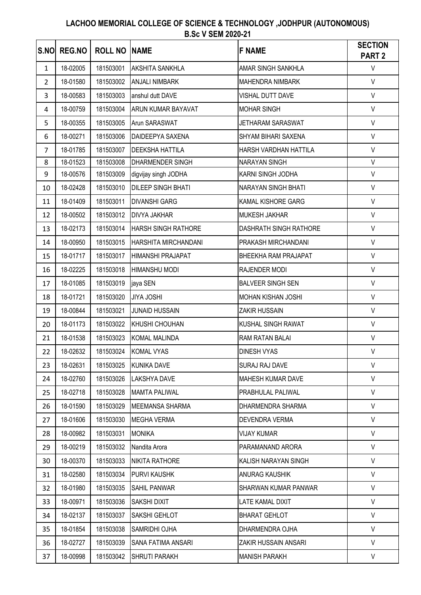| <b>S.NO</b>    | <b>REG.NO</b> | <b>ROLL NO  NAME</b> |                            | <b>F NAME</b>              | <b>SECTION</b><br>PART <sub>2</sub> |
|----------------|---------------|----------------------|----------------------------|----------------------------|-------------------------------------|
| $\mathbf{1}$   | 18-02005      | 181503001            | <b>AKSHITA SANKHLA</b>     | AMAR SINGH SANKHLA         | $\vee$                              |
| $\overline{2}$ | 18-01580      | 181503002            | <b>ANJALI NIMBARK</b>      | <b>MAHENDRA NIMBARK</b>    | $\vee$                              |
| 3              | 18-00583      | 181503003            | anshul dutt DAVE           | VISHAL DUTT DAVE           | $\vee$                              |
| 4              | 18-00759      | 181503004            | <b>ARUN KUMAR BAYAVAT</b>  | <b>MOHAR SINGH</b>         | $\vee$                              |
| 5              | 18-00355      | 181503005            | Arun SARASWAT              | <b>JETHARAM SARASWAT</b>   | $\vee$                              |
| 6              | 18-00271      | 181503006            | DAIDEEPYA SAXENA           | SHYAM BIHARI SAXENA        | $\vee$                              |
| $\overline{7}$ | 18-01785      | 181503007            | <b>DEEKSHA HATTILA</b>     | HARSH VARDHAN HATTILA      | $\vee$                              |
| 8              | 18-01523      | 181503008            | <b>DHARMENDER SINGH</b>    | <b>NARAYAN SINGH</b>       | $\vee$                              |
| 9              | 18-00576      | 181503009            | digvijay singh JODHA       | KARNI SINGH JODHA          | $\vee$                              |
| 10             | 18-02428      | 181503010            | <b>DILEEP SINGH BHATI</b>  | <b>NARAYAN SINGH BHATI</b> | $\vee$                              |
| 11             | 18-01409      | 181503011            | <b>DIVANSHI GARG</b>       | KAMAL KISHORE GARG         | $\vee$                              |
| 12             | 18-00502      | 181503012            | <b>DIVYA JAKHAR</b>        | MUKESH JAKHAR              | $\vee$                              |
| 13             | 18-02173      | 181503014            | <b>HARSH SINGH RATHORE</b> | DASHRATH SINGH RATHORE     | $\vee$                              |
| 14             | 18-00950      | 181503015            | HARSHITA MIRCHANDANI       | PRAKASH MIRCHANDANI        | $\mathsf{V}$                        |
| 15             | 18-01717      | 181503017            | <b>HIMANSHI PRAJAPAT</b>   | BHEEKHA RAM PRAJAPAT       | $\vee$                              |
| 16             | 18-02225      | 181503018            | HIMANSHU MODI              | RAJENDER MODI              | $\vee$                              |
| 17             | 18-01085      | 181503019            | jaya SEN                   | <b>BALVEER SINGH SEN</b>   | $\vee$                              |
| 18             | 18-01721      | 181503020            | <b>JIYA JOSHI</b>          | <b>MOHAN KISHAN JOSHI</b>  | $\vee$                              |
| 19             | 18-00844      | 181503021            | <b>JUNAID HUSSAIN</b>      | ZAKIR HUSSAIN              | $\vee$                              |
| 20             | 18-01173      | 181503022            | KHUSHI CHOUHAN             | KUSHAL SINGH RAWAT         | $\vee$                              |
| 21             | 18-01538      | 181503023            | <b>KOMAL MALINDA</b>       | RAM RATAN BALAI            | $\vee$                              |
| 22             | 18-02632      | 181503024            | <b>KOMAL VYAS</b>          | <b>DINESH VYAS</b>         | $\vee$                              |
| 23             | 18-02631      | 181503025            | <b>KUNIKA DAVE</b>         | SURAJ RAJ DAVE             | $\vee$                              |
| 24             | 18-02760      | 181503026            | <b>LAKSHYA DAVE</b>        | MAHESH KUMAR DAVE          | $\vee$                              |
| 25             | 18-02718      | 181503028            | <b>MAMTA PALIWAL</b>       | PRABHULAL PALIWAL          | $\vee$                              |
| 26             | 18-01590      | 181503029            | MEEMANSA SHARMA            | DHARMENDRA SHARMA          | $\vee$                              |
| 27             | 18-01606      | 181503030            | <b>MEGHA VERMA</b>         | DEVENDRA VERMA             | V                                   |
| 28             | 18-00982      | 181503031            | <b>MONIKA</b>              | <b>VIJAY KUMAR</b>         | $\vee$                              |
| 29             | 18-00219      | 181503032            | Nandita Arora              | PARAMANAND ARORA           | $\vee$                              |
| 30             | 18-00370      | 181503033            | <b>NIKITA RATHORE</b>      | KALISH NARAYAN SINGH       | $\vee$                              |
| 31             | 18-02580      | 181503034            | <b>PURVI KAUSHK</b>        | ANURAG KAUSHIK             | $\vee$                              |
| 32             | 18-01980      | 181503035            | <b>SAHIL PANWAR</b>        | SHARWAN KUMAR PANWAR       | $\vee$                              |
| 33             | 18-00971      | 181503036            | <b>SAKSHI DIXIT</b>        | LATE KAMAL DIXIT           | $\vee$                              |
| 34             | 18-02137      | 181503037            | SAKSHI GEHLOT              | <b>BHARAT GEHLOT</b>       | $\vee$                              |
| 35             | 18-01854      | 181503038            | SAMRIDHI OJHA              | DHARMENDRA OJHA            | V                                   |
| 36             | 18-02727      | 181503039            | SANA FATIMA ANSARI         | ZAKIR HUSSAIN ANSARI       | $\vee$                              |
| 37             | 18-00998      | 181503042            | <b>SHRUTI PARAKH</b>       | <b>MANISH PARAKH</b>       | V                                   |